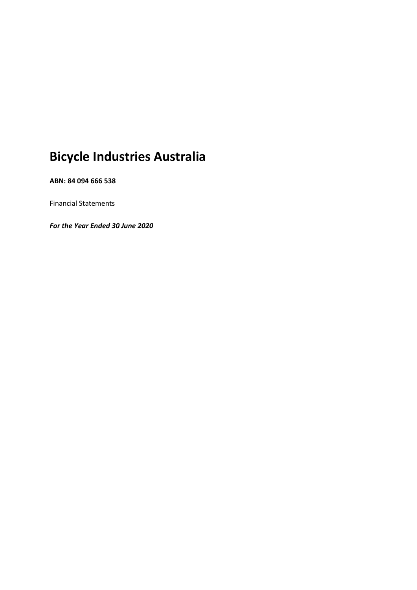# **Bicycle Industries Australia**

**ABN: 84 094 666 538**

Financial Statements

*For the Year Ended 30 June 2020*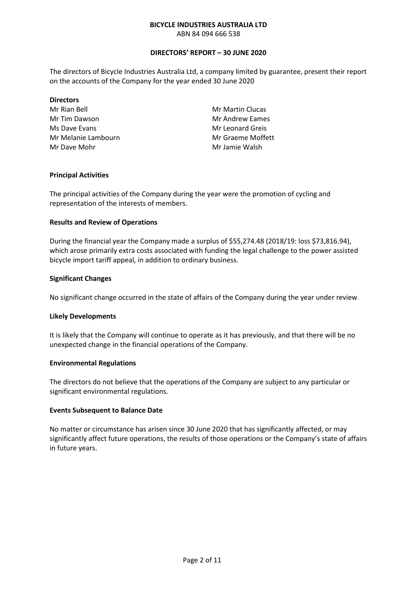ABN 84 094 666 538

#### **DIRECTORS' REPORT – 30 JUNE 2020**

The directors of Bicycle Industries Australia Ltd, a company limited by guarantee, present their report on the accounts of the Company for the year ended 30 June 2020

#### **Directors**

Mr Rian Bell Mr Tim Dawson Ms Dave Evans Mr Melanie Lambourn Mr Dave Mohr

Mr Martin Clucas Mr Andrew Eames Mr Leonard Greis Mr Graeme Moffett Mr Jamie Walsh

#### **Principal Activities**

The principal activities of the Company during the year were the promotion of cycling and representation of the interests of members.

#### **Results and Review of Operations**

During the financial year the Company made a surplus of \$55,274.48 (2018/19: loss \$73,816.94), which arose primarily extra costs associated with funding the legal challenge to the power assisted bicycle import tariff appeal, in addition to ordinary business.

#### **Significant Changes**

No significant change occurred in the state of affairs of the Company during the year under review.

#### **Likely Developments**

It is likely that the Company will continue to operate as it has previously, and that there will be no unexpected change in the financial operations of the Company.

#### **Environmental Regulations**

The directors do not believe that the operations of the Company are subject to any particular or significant environmental regulations.

#### **Events Subsequent to Balance Date**

No matter or circumstance has arisen since 30 June 2020 that has significantly affected, or may significantly affect future operations, the results of those operations or the Company's state of affairs in future years.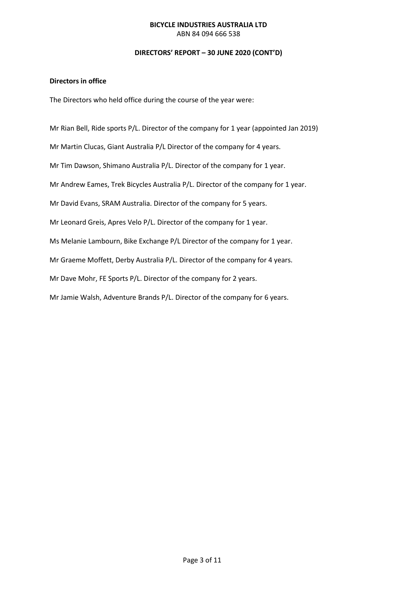ABN 84 094 666 538

#### **DIRECTORS' REPORT – 30 JUNE 2020 (CONT'D)**

#### **Directors in office**

The Directors who held office during the course of the year were:

Mr Rian Bell, Ride sports P/L. Director of the company for 1 year (appointed Jan 2019) Mr Martin Clucas, Giant Australia P/L Director of the company for 4 years. Mr Tim Dawson, Shimano Australia P/L. Director of the company for 1 year. Mr Andrew Eames, Trek Bicycles Australia P/L. Director of the company for 1 year. Mr David Evans, SRAM Australia. Director of the company for 5 years. Mr Leonard Greis, Apres Velo P/L. Director of the company for 1 year. Ms Melanie Lambourn, Bike Exchange P/L Director of the company for 1 year. Mr Graeme Moffett, Derby Australia P/L. Director of the company for 4 years. Mr Dave Mohr, FE Sports P/L. Director of the company for 2 years. Mr Jamie Walsh, Adventure Brands P/L. Director of the company for 6 years.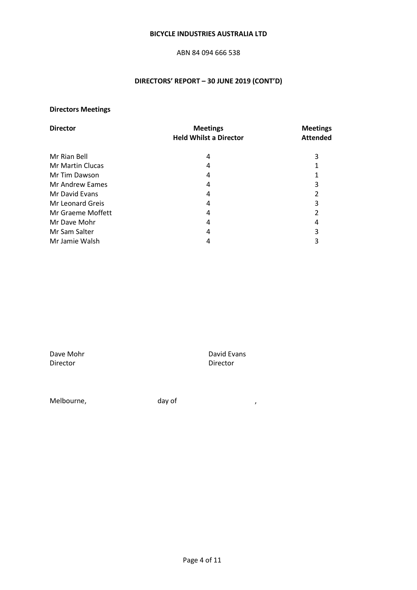#### ABN 84 094 666 538

# **DIRECTORS' REPORT – 30 JUNE 2019 (CONT'D)**

# **Directors Meetings**

| <b>Director</b>         | <b>Meetings</b>               | <b>Meetings</b> |  |
|-------------------------|-------------------------------|-----------------|--|
|                         | <b>Held Whilst a Director</b> | <b>Attended</b> |  |
| Mr Rian Bell            | 4                             | 3               |  |
| <b>Mr Martin Clucas</b> | 4                             |                 |  |
| Mr Tim Dawson           | 4                             | 1               |  |
| <b>Mr Andrew Eames</b>  | 4                             | 3               |  |
| Mr David Evans          | 4                             | 2               |  |
| Mr Leonard Greis        | 4                             | 3               |  |
| Mr Graeme Moffett       | 4                             | 2               |  |
| Mr Dave Mohr            | 4                             | 4               |  |
| Mr Sam Salter           | 4                             | 3               |  |
| Mr Jamie Walsh          | 4                             | 3               |  |

Dave Mohr David Evans Director

Melbourne, and the day of the state of  $\sim$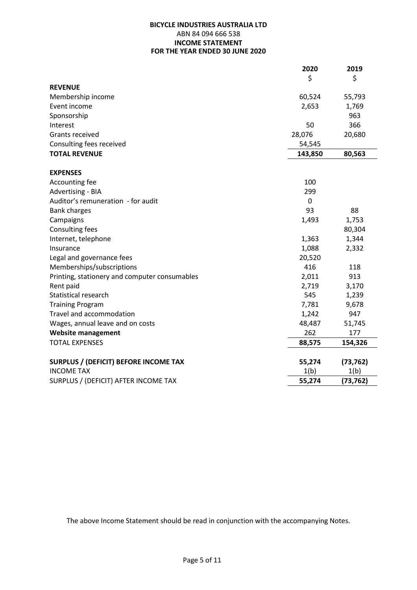#### **BICYCLE INDUSTRIES AUSTRALIA LTD**  ABN 84 094 666 538 **INCOME STATEMENT FOR THE YEAR ENDED 30 JUNE 2020**

|                                               | 2020    | 2019      |
|-----------------------------------------------|---------|-----------|
|                                               | \$      | \$        |
| <b>REVENUE</b>                                |         |           |
| Membership income                             | 60,524  | 55,793    |
| Event income                                  | 2,653   | 1,769     |
| Sponsorship                                   |         | 963       |
| Interest                                      | 50      | 366       |
| Grants received                               | 28,076  | 20,680    |
| Consulting fees received                      | 54,545  |           |
| <b>TOTAL REVENUE</b>                          | 143,850 | 80,563    |
| <b>EXPENSES</b>                               |         |           |
| Accounting fee                                | 100     |           |
| Advertising - BIA                             | 299     |           |
| Auditor's remuneration - for audit            | 0       |           |
| <b>Bank charges</b>                           | 93      | 88        |
| Campaigns                                     | 1,493   | 1,753     |
| <b>Consulting fees</b>                        |         | 80,304    |
| Internet, telephone                           | 1,363   | 1,344     |
| Insurance                                     | 1,088   | 2,332     |
| Legal and governance fees                     | 20,520  |           |
| Memberships/subscriptions                     | 416     | 118       |
| Printing, stationery and computer consumables | 2,011   | 913       |
| Rent paid                                     | 2,719   | 3,170     |
| Statistical research                          | 545     | 1,239     |
| <b>Training Program</b>                       | 7,781   | 9,678     |
| Travel and accommodation                      | 1,242   | 947       |
| Wages, annual leave and on costs              | 48,487  | 51,745    |
| <b>Website management</b>                     | 262     | 177       |
| <b>TOTAL EXPENSES</b>                         | 88,575  | 154,326   |
| <b>SURPLUS / (DEFICIT) BEFORE INCOME TAX</b>  | 55,274  | (73, 762) |
| <b>INCOME TAX</b>                             | 1(b)    | 1(b)      |
| SURPLUS / (DEFICIT) AFTER INCOME TAX          | 55,274  | (73, 762) |

The above Income Statement should be read in conjunction with the accompanying Notes.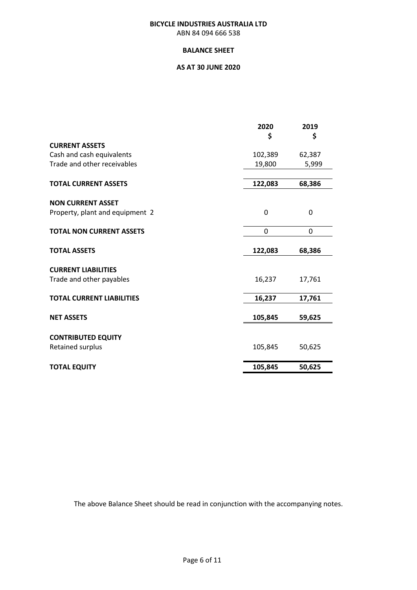#### **BICYCLE INDUSTRIES AUSTRALIA LTD** ABN 84 094 666 538

#### **BALANCE SHEET**

## **AS AT 30 JUNE 2020**

|                                  | 2020    | 2019   |
|----------------------------------|---------|--------|
|                                  | \$      | \$     |
| <b>CURRENT ASSETS</b>            |         |        |
| Cash and cash equivalents        | 102,389 | 62,387 |
| Trade and other receivables      | 19,800  | 5,999  |
| <b>TOTAL CURRENT ASSETS</b>      | 122,083 | 68,386 |
| <b>NON CURRENT ASSET</b>         |         |        |
| Property, plant and equipment 2  | 0       | 0      |
| <b>TOTAL NON CURRENT ASSETS</b>  | 0       | 0      |
| <b>TOTAL ASSETS</b>              | 122,083 | 68,386 |
| <b>CURRENT LIABILITIES</b>       |         |        |
| Trade and other payables         | 16,237  | 17,761 |
| <b>TOTAL CURRENT LIABILITIES</b> | 16,237  | 17,761 |
| <b>NET ASSETS</b>                | 105,845 | 59,625 |
|                                  |         |        |
| <b>CONTRIBUTED EQUITY</b>        |         |        |
| Retained surplus                 | 105,845 | 50,625 |
| <b>TOTAL EQUITY</b>              | 105,845 | 50,625 |

The above Balance Sheet should be read in conjunction with the accompanying notes.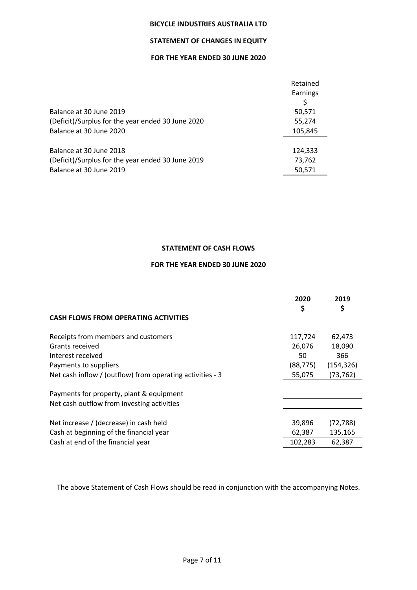# **STATEMENT OF CHANGES IN EQUITY**

## **FOR THE YEAR ENDED 30 JUNE 2020**

| Balance at 30 June 2019<br>(Deficit)/Surplus for the year ended 30 June 2020 | Retained<br>Earnings<br>50,571<br>55,274 |
|------------------------------------------------------------------------------|------------------------------------------|
| Balance at 30 June 2020                                                      | 105,845                                  |
|                                                                              |                                          |
| Balance at 30 June 2018                                                      | 124,333                                  |
| (Deficit)/Surplus for the year ended 30 June 2019                            | 73,762                                   |
| Balance at 30 June 2019                                                      | 50,571                                   |

#### **STATEMENT OF CASH FLOWS**

# **FOR THE YEAR ENDED 30 JUNE 2020**

|                                                           | 2020<br>\$ | 2019<br>\$ |
|-----------------------------------------------------------|------------|------------|
| <b>CASH FLOWS FROM OPERATING ACTIVITIES</b>               |            |            |
| Receipts from members and customers                       | 117,724    | 62,473     |
| Grants received                                           | 26,076     | 18,090     |
| Interest received                                         | 50         | 366        |
| Payments to suppliers                                     | (88, 775)  | (154, 326) |
| Net cash inflow / (outflow) from operating activities - 3 | 55,075     | (73, 762)  |
| Payments for property, plant & equipment                  |            |            |
| Net cash outflow from investing activities                |            |            |
| Net increase / (decrease) in cash held                    | 39,896     | (72, 788)  |
| Cash at beginning of the financial year                   | 62,387     | 135,165    |
| Cash at end of the financial year                         | 102,283    | 62,387     |

The above Statement of Cash Flows should be read in conjunction with the accompanying Notes.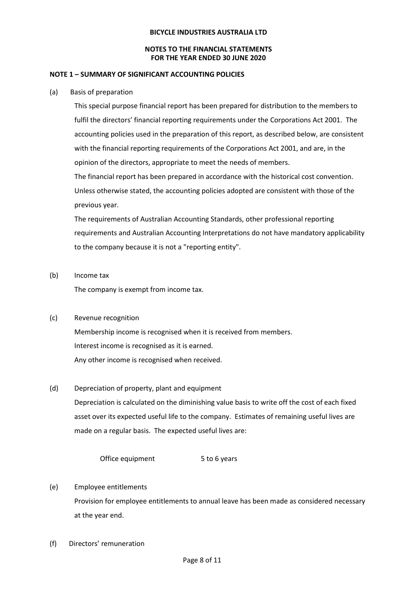#### **NOTES TO THE FINANCIAL STATEMENTS FOR THE YEAR ENDED 30 JUNE 2020**

#### **NOTE 1 – SUMMARY OF SIGNIFICANT ACCOUNTING POLICIES**

#### (a) Basis of preparation

This special purpose financial report has been prepared for distribution to the members to fulfil the directors' financial reporting requirements under the Corporations Act 2001. The accounting policies used in the preparation of this report, as described below, are consistent with the financial reporting requirements of the Corporations Act 2001, and are, in the opinion of the directors, appropriate to meet the needs of members.

The financial report has been prepared in accordance with the historical cost convention. Unless otherwise stated, the accounting policies adopted are consistent with those of the previous year.

The requirements of Australian Accounting Standards, other professional reporting requirements and Australian Accounting Interpretations do not have mandatory applicability to the company because it is not a "reporting entity".

(b) Income tax

The company is exempt from income tax.

#### (c) Revenue recognition

Membership income is recognised when it is received from members. Interest income is recognised as it is earned. Any other income is recognised when received.

#### (d) Depreciation of property, plant and equipment

Depreciation is calculated on the diminishing value basis to write off the cost of each fixed asset over its expected useful life to the company. Estimates of remaining useful lives are made on a regular basis. The expected useful lives are:

Office equipment 5 to 6 years

- (e) Employee entitlements Provision for employee entitlements to annual leave has been made as considered necessary at the year end.
- (f) Directors' remuneration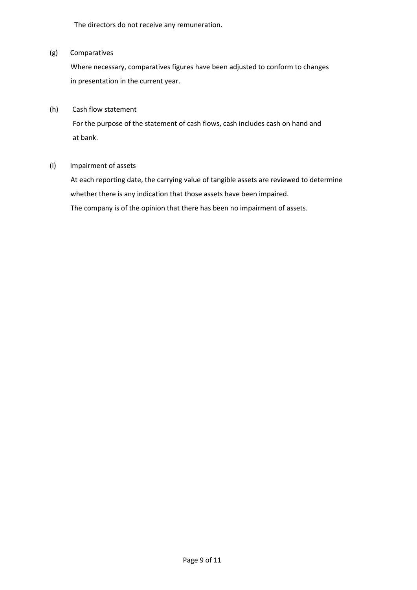The directors do not receive any remuneration.

#### (g) Comparatives

 Where necessary, comparatives figures have been adjusted to conform to changes in presentation in the current year.

#### (h) Cash flow statement

 For the purpose of the statement of cash flows, cash includes cash on hand and at bank.

#### (i) Impairment of assets

 At each reporting date, the carrying value of tangible assets are reviewed to determine whether there is any indication that those assets have been impaired. The company is of the opinion that there has been no impairment of assets.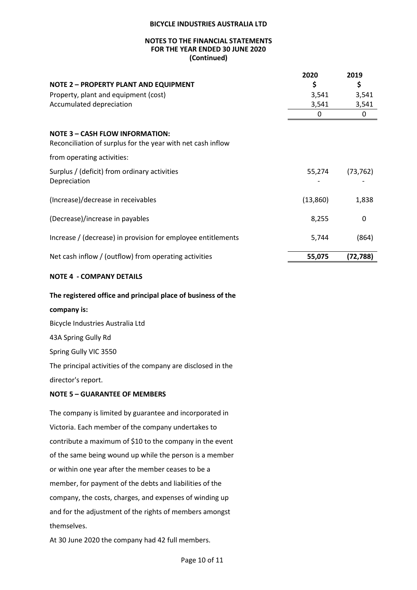#### **NOTES TO THE FINANCIAL STATEMENTS FOR THE YEAR ENDED 30 JUNE 2020 (Continued)**

|                                                                                                       | 2020     | 2019      |
|-------------------------------------------------------------------------------------------------------|----------|-----------|
| <b>NOTE 2 - PROPERTY PLANT AND EQUIPMENT</b>                                                          | \$       | \$        |
| Property, plant and equipment (cost)                                                                  | 3,541    | 3,541     |
| Accumulated depreciation                                                                              | 3,541    | 3,541     |
|                                                                                                       | 0        | 0         |
| <b>NOTE 3 - CASH FLOW INFORMATION:</b><br>Reconciliation of surplus for the year with net cash inflow |          |           |
| from operating activities:                                                                            |          |           |
| Surplus / (deficit) from ordinary activities                                                          | 55,274   | (73, 762) |
| Depreciation                                                                                          |          |           |
| (Increase)/decrease in receivables                                                                    | (13,860) | 1,838     |
| (Decrease)/increase in payables                                                                       | 8,255    | 0         |
| Increase / (decrease) in provision for employee entitlements                                          | 5,744    | (864)     |
| Net cash inflow / (outflow) from operating activities                                                 | 55,075   | (72, 788) |
|                                                                                                       |          |           |

#### **NOTE 4 - COMPANY DETAILS**

#### **The registered office and principal place of business of the**

# **company is:**

Bicycle Industries Australia Ltd 43A Spring Gully Rd Spring Gully VIC 3550 The principal activities of the company are disclosed in the director's report.

#### **NOTE 5 – GUARANTEE OF MEMBERS**

The company is limited by guarantee and incorporated in Victoria. Each member of the company undertakes to contribute a maximum of \$10 to the company in the event of the same being wound up while the person is a member or within one year after the member ceases to be a member, for payment of the debts and liabilities of the company, the costs, charges, and expenses of winding up and for the adjustment of the rights of members amongst themselves.

At 30 June 2020 the company had 42 full members.